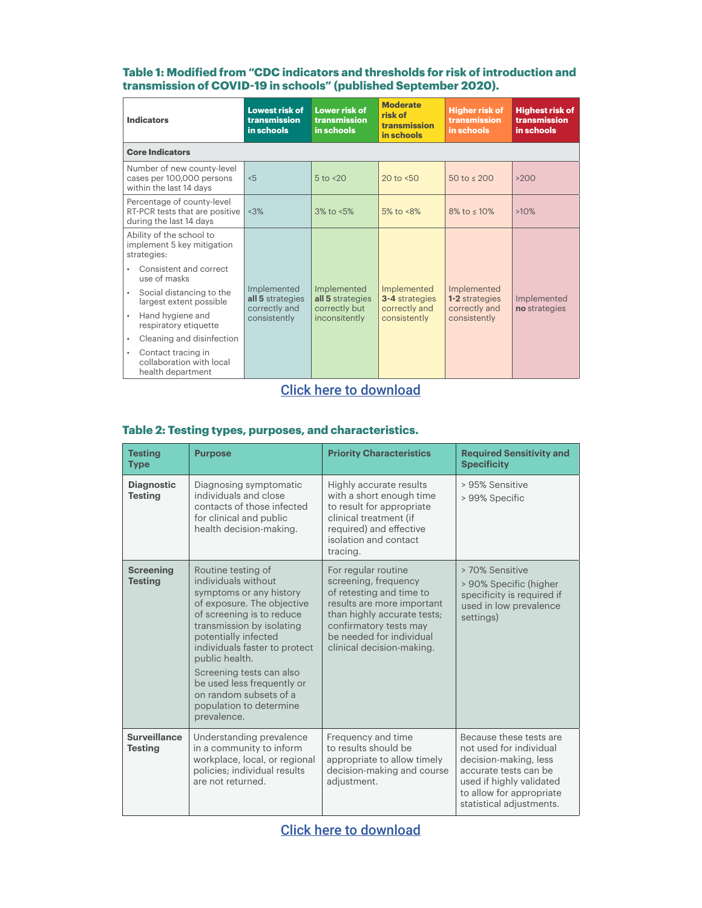### **Table 1: Modified from "CDC indicators and thresholds for risk of introduction and transmission of COVID-19 in schools" (published September 2020).**

| <b>Indicators</b>                                                                       | <b>Lowest risk of</b><br>transmission<br>in schools              | <b>Lower risk of</b><br>transmission<br>in schools                | <b>Moderate</b><br>risk of<br>transmission<br>in schools       | <b>Higher risk of</b><br>transmission<br>in schools            | <b>Highest risk of</b><br>transmission<br>in schools |  |  |
|-----------------------------------------------------------------------------------------|------------------------------------------------------------------|-------------------------------------------------------------------|----------------------------------------------------------------|----------------------------------------------------------------|------------------------------------------------------|--|--|
| <b>Core Indicators</b>                                                                  |                                                                  |                                                                   |                                                                |                                                                |                                                      |  |  |
| Number of new county-level<br>cases per 100,000 persons<br>within the last 14 days      | < 5                                                              | $5$ to $< 20$                                                     | 20 to $< 50$                                                   | 50 to $\leq 200$                                               | >200                                                 |  |  |
| Percentage of county-level<br>RT-PCR tests that are positive<br>during the last 14 days | <3%                                                              | $3\%$ to $\leq 5\%$                                               | 5% to $<8\%$                                                   | $8\%$ to $\leq 10\%$                                           | >10%                                                 |  |  |
| Ability of the school to<br>implement 5 key mitigation<br>strategies:                   |                                                                  | Implemented<br>all 5 strategies<br>correctly but<br>inconsitently | Implemented<br>3-4 strategies<br>correctly and<br>consistently | Implemented<br>1-2 strategies<br>correctly and<br>consistently | Implemented<br>no strategies                         |  |  |
| Consistent and correct<br>use of masks                                                  | Implemented<br>all 5 strategies<br>correctly and<br>consistently |                                                                   |                                                                |                                                                |                                                      |  |  |
| Social distancing to the<br>$\bullet$<br>largest extent possible                        |                                                                  |                                                                   |                                                                |                                                                |                                                      |  |  |
| Hand hygiene and<br>$\bullet$<br>respiratory etiquette                                  |                                                                  |                                                                   |                                                                |                                                                |                                                      |  |  |
| Cleaning and disinfection<br>$\bullet$                                                  |                                                                  |                                                                   |                                                                |                                                                |                                                      |  |  |
| Contact tracing in<br>$\bullet$<br>collaboration with local<br>health department        |                                                                  |                                                                   |                                                                |                                                                |                                                      |  |  |

# [Click here to download](https://rockfound.app.box.com/s/hxwv3hgtromeqacmo7cqzx65y011n27e/file/729892600194)

| <b>Testing</b><br><b>Type</b>         | <b>Purpose</b>                                                                                                                                                                                                                                                                                                                                                        | <b>Priority Characteristics</b>                                                                                                                                                                                         | <b>Required Sensitivity and</b><br><b>Specificity</b>                                                                                                                                    |
|---------------------------------------|-----------------------------------------------------------------------------------------------------------------------------------------------------------------------------------------------------------------------------------------------------------------------------------------------------------------------------------------------------------------------|-------------------------------------------------------------------------------------------------------------------------------------------------------------------------------------------------------------------------|------------------------------------------------------------------------------------------------------------------------------------------------------------------------------------------|
| <b>Diagnostic</b><br><b>Testing</b>   | Diagnosing symptomatic<br>individuals and close<br>contacts of those infected<br>for clinical and public<br>health decision-making.                                                                                                                                                                                                                                   | Highly accurate results<br>with a short enough time<br>to result for appropriate<br>clinical treatment (if<br>required) and effective<br>isolation and contact<br>tracing.                                              | > 95% Sensitive<br>> 99% Specific                                                                                                                                                        |
| <b>Screening</b><br><b>Testing</b>    | Routine testing of<br>individuals without<br>symptoms or any history<br>of exposure. The objective<br>of screening is to reduce<br>transmission by isolating<br>potentially infected<br>individuals faster to protect<br>public health.<br>Screening tests can also<br>be used less frequently or<br>on random subsets of a<br>population to determine<br>prevalence. | For regular routine<br>screening, frequency<br>of retesting and time to<br>results are more important<br>than highly accurate tests;<br>confirmatory tests may<br>be needed for individual<br>clinical decision-making. | > 70% Sensitive<br>> 90% Specific (higher<br>specificity is required if<br>used in low prevalence<br>settings)                                                                           |
| <b>Surveillance</b><br><b>Testing</b> | Understanding prevalence<br>in a community to inform<br>workplace, local, or regional<br>policies: individual results<br>are not returned.                                                                                                                                                                                                                            | Frequency and time<br>to results should be<br>appropriate to allow timely<br>decision-making and course<br>adiustment.                                                                                                  | Because these tests are<br>not used for individual<br>decision-making, less<br>accurate tests can be<br>used if highly validated<br>to allow for appropriate<br>statistical adjustments. |

## **Table 2: Testing types, purposes, and characteristics.**

[Click here to download](https://rockfound.app.box.com/s/hxwv3hgtromeqacmo7cqzx65y011n27e/file/729893681564)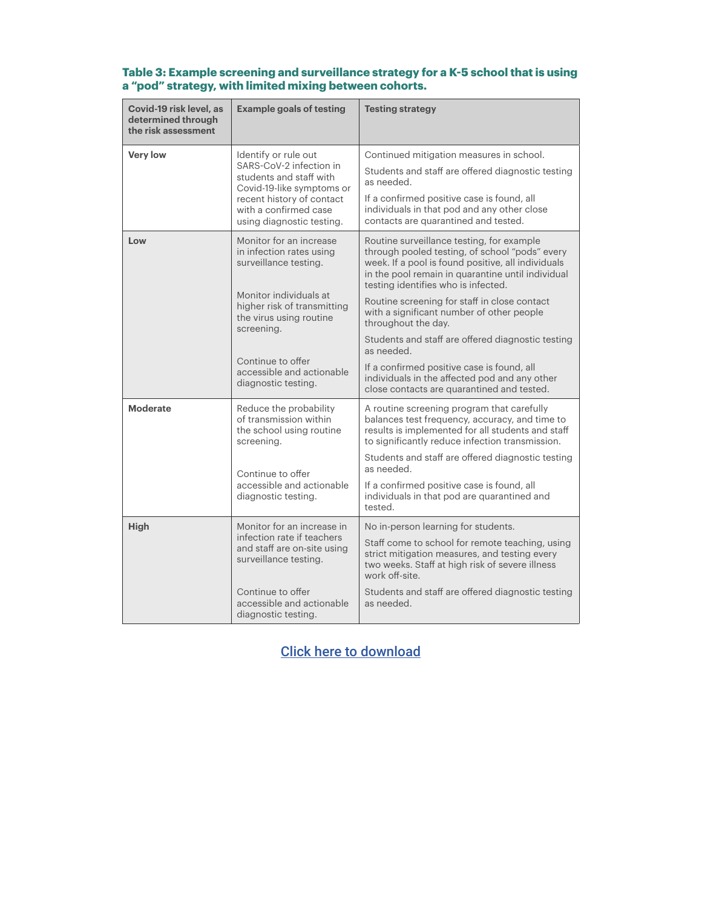| Covid-19 risk level, as<br>determined through<br>the risk assessment                | <b>Example goals of testing</b>                                                                                                                               | <b>Testing strategy</b>                                                                                                                                                                                                                       |  |  |
|-------------------------------------------------------------------------------------|---------------------------------------------------------------------------------------------------------------------------------------------------------------|-----------------------------------------------------------------------------------------------------------------------------------------------------------------------------------------------------------------------------------------------|--|--|
| <b>Very low</b>                                                                     | Identify or rule out<br>SARS-CoV-2 infection in<br>students and staff with<br>Covid-19-like symptoms or<br>recent history of contact<br>with a confirmed case | Continued mitigation measures in school.<br>Students and staff are offered diagnostic testing<br>as needed.<br>If a confirmed positive case is found, all<br>individuals in that pod and any other close                                      |  |  |
|                                                                                     | using diagnostic testing.                                                                                                                                     | contacts are quarantined and tested.                                                                                                                                                                                                          |  |  |
| Monitor for an increase<br>Low<br>in infection rates using<br>surveillance testing. |                                                                                                                                                               | Routine surveillance testing, for example<br>through pooled testing, of school "pods" every<br>week. If a pool is found positive, all individuals<br>in the pool remain in quarantine until individual<br>testing identifies who is infected. |  |  |
|                                                                                     | Monitor individuals at<br>higher risk of transmitting<br>the virus using routine<br>screening.                                                                | Routine screening for staff in close contact<br>with a significant number of other people<br>throughout the day.                                                                                                                              |  |  |
|                                                                                     |                                                                                                                                                               | Students and staff are offered diagnostic testing<br>as needed.                                                                                                                                                                               |  |  |
| Continue to offer<br>accessible and actionable<br>diagnostic testing.               |                                                                                                                                                               | If a confirmed positive case is found, all<br>individuals in the affected pod and any other<br>close contacts are quarantined and tested.                                                                                                     |  |  |
| <b>Moderate</b>                                                                     | Reduce the probability<br>of transmission within<br>the school using routine<br>screening.                                                                    | A routine screening program that carefully<br>balances test frequency, accuracy, and time to<br>results is implemented for all students and staff<br>to significantly reduce infection transmission.                                          |  |  |
|                                                                                     | Continue to offer                                                                                                                                             | Students and staff are offered diagnostic testing<br>as needed.                                                                                                                                                                               |  |  |
|                                                                                     | accessible and actionable<br>diagnostic testing.                                                                                                              | If a confirmed positive case is found, all<br>individuals in that pod are quarantined and<br>tested.                                                                                                                                          |  |  |
| <b>High</b>                                                                         | Monitor for an increase in                                                                                                                                    | No in-person learning for students.                                                                                                                                                                                                           |  |  |
|                                                                                     | infection rate if teachers<br>and staff are on-site using<br>surveillance testing.                                                                            | Staff come to school for remote teaching, using<br>strict mitigation measures, and testing every<br>two weeks. Staff at high risk of severe illness<br>work off-site.                                                                         |  |  |
| Continue to offer<br>accessible and actionable<br>diagnostic testing.               |                                                                                                                                                               | Students and staff are offered diagnostic testing<br>as needed.                                                                                                                                                                               |  |  |

### **Table 3: Example screening and surveillance strategy for a K-5 school that is using a "pod" strategy, with limited mixing between cohorts.**

# [Click here to download](https://rockfound.app.box.com/s/hxwv3hgtromeqacmo7cqzx65y011n27e/file/729894898692)